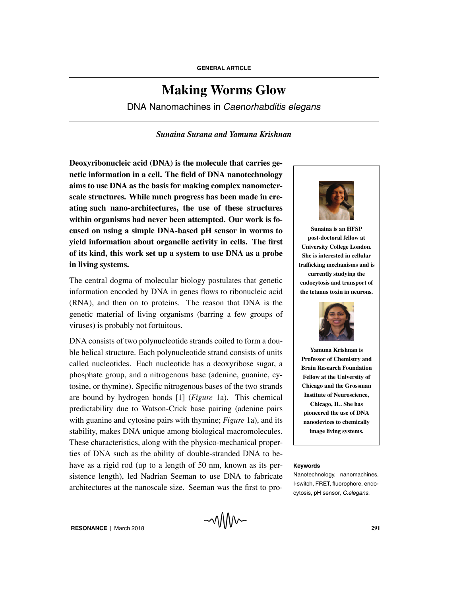# **Making Worms Glow**

DNA Nanomachines in Caenorhabditis elegans

# *Sunaina Surana and Yamuna Krishnan*

**Deoxyribonucleic acid (DNA) is the molecule that carries genetic information in a cell. The field of DNA nanotechnology aims to use DNA as the basis for making complex nanometerscale structures. While much progress has been made in creating such nano-architectures, the use of these structures within organisms had never been attempted. Our work is focused on using a simple DNA-based pH sensor in worms to yield information about organelle activity in cells. The first of its kind, this work set up a system to use DNA as a probe in living systems.**

The central dogma of molecular biology postulates that genetic information encoded by DNA in genes flows to ribonucleic acid (RNA), and then on to proteins. The reason that DNA is the genetic material of living organisms (barring a few groups of viruses) is probably not fortuitous.

DNA consists of two polynucleotide strands coiled to form a double helical structure. Each polynucleotide strand consists of units called nucleotides. Each nucleotide has a deoxyribose sugar, a phosphate group, and a nitrogenous base (adenine, guanine, cytosine, or thymine). Specific nitrogenous bases of the two strands are bound by hydrogen bonds [1] (*Figure* 1a). This chemical predictability due to Watson-Crick base pairing (adenine pairs with guanine and cytosine pairs with thymine; *Figure* 1a), and its stability, makes DNA unique among biological macromolecules. These characteristics, along with the physico-mechanical properties of DNA such as the ability of double-stranded DNA to behave as a rigid rod (up to a length of 50 nm, known as its per- **Keywords** sistence length), led Nadrian Seeman to use DNA to fabricate architectures at the nanoscale size. Seeman was the first to pro-



**Sunaina is an HFSP post-doctoral fellow at University College London. She is interested in cellular tra**ffi**cking mechanisms and is currently studying the endocytosis and transport of the tetanus toxin in neurons.**



**Yamuna Krishnan is Professor of Chemistry and Brain Research Foundation Fellow at the University of Chicago and the Grossman Institute of Neuroscience, Chicago, IL. She has pioneered the use of DNA nanodevices to chemically image living systems.**

Nanotechnology, nanomachines, I-switch, FRET, fluorophore, endocytosis, pH sensor, C.elegans.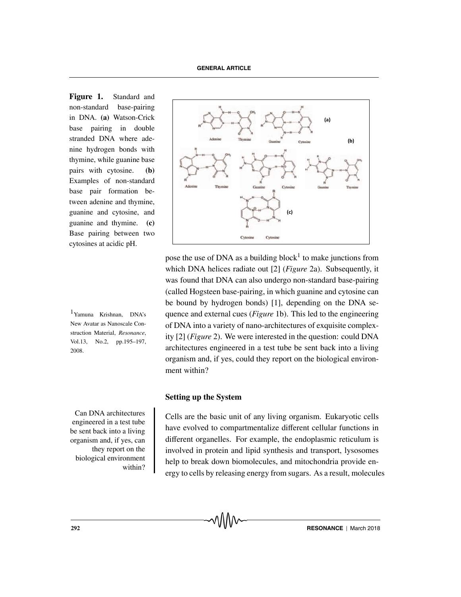**Figure 1.** Standard and non-standard base-pairing in DNA. **(a)** Watson-Crick base pairing in double stranded DNA where adenine hydrogen bonds with thymine, while guanine base pairs with cytosine. **(b)** Examples of non-standard base pair formation between adenine and thymine, guanine and cytosine, and guanine and thymine. **(c)** Base pairing between two cytosines at acidic pH.

 $1$ Yamuna Krishnan, DNA's New Avatar as Nanoscale Construction Material, *Resonance*, Vol.13, No.2, pp.195–197, 2008.

Can DNA architectures engineered in a test tube be sent back into a living organism and, if yes, can they report on the biological environment within?



pose the use of DNA as a building block<sup>1</sup> to make junctions from which DNA helices radiate out [2] (*Figure* 2a). Subsequently, it was found that DNA can also undergo non-standard base-pairing (called Hogsteen base-pairing, in which guanine and cytosine can be bound by hydrogen bonds) [1], depending on the DNA sequence and external cues (*Figure* 1b). This led to the engineering of DNA into a variety of nano-architectures of exquisite complexity [2] (*Figure* 2). We were interested in the question: could DNA architectures engineered in a test tube be sent back into a living organism and, if yes, could they report on the biological environment within?

#### **Setting up the System**

Cells are the basic unit of any living organism. Eukaryotic cells have evolved to compartmentalize different cellular functions in different organelles. For example, the endoplasmic reticulum is involved in protein and lipid synthesis and transport, lysosomes help to break down biomolecules, and mitochondria provide energy to cells by releasing energy from sugars. As a result, molecules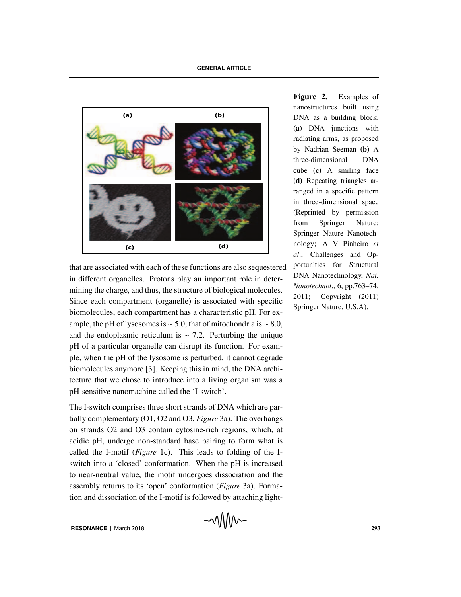

that are associated with each of these functions are also sequestered in different organelles. Protons play an important role in determining the charge, and thus, the structure of biological molecules. Since each compartment (organelle) is associated with specific biomolecules, each compartment has a characteristic pH. For example, the pH of lysosomes is  $\sim$  5.0, that of mitochondria is  $\sim$  8.0, and the endoplasmic reticulum is  $\sim$  7.2. Perturbing the unique pH of a particular organelle can disrupt its function. For example, when the pH of the lysosome is perturbed, it cannot degrade biomolecules anymore [3]. Keeping this in mind, the DNA architecture that we chose to introduce into a living organism was a pH-sensitive nanomachine called the 'I-switch'.

The I-switch comprises three short strands of DNA which are partially complementary (O1, O2 and O3, *Figure* 3a). The overhangs on strands O2 and O3 contain cytosine-rich regions, which, at acidic pH, undergo non-standard base pairing to form what is called the I-motif (*Figure* 1c). This leads to folding of the Iswitch into a 'closed' conformation. When the pH is increased to near-neutral value, the motif undergoes dissociation and the assembly returns to its 'open' conformation (*Figure* 3a). Formation and dissociation of the I-motif is followed by attaching light**Figure 2.** Examples of nanostructures built using DNA as a building block. **(a)** DNA junctions with radiating arms, as proposed by Nadrian Seeman **(b)** A three-dimensional DNA cube **(c)** A smiling face **(d)** Repeating triangles arranged in a specific pattern in three-dimensional space (Reprinted by permission from Springer Nature: Springer Nature Nanotechnology; A V Pinheiro *et al*., Challenges and Opportunities for Structural DNA Nanotechnology, *Nat. Nanotechnol*., 6, pp.763–74, 2011; Copyright (2011) Springer Nature, U.S.A).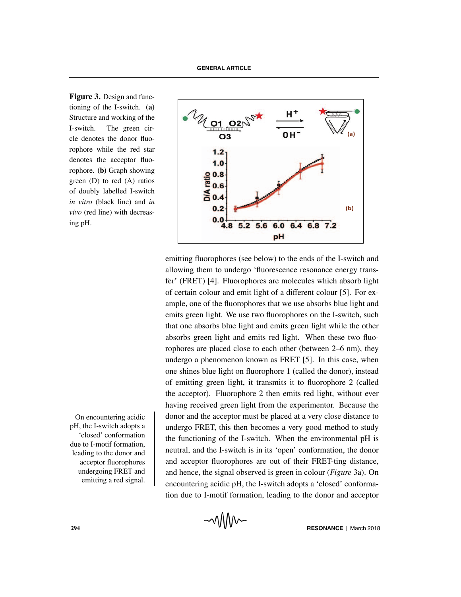**Figure 3.** Design and functioning of the I-switch. **(a)** Structure and working of the I-switch. The green circle denotes the donor fluorophore while the red star denotes the acceptor fluorophore. **(b)** Graph showing green (D) to red (A) ratios of doubly labelled I-switch *in vitro* (black line) and *in vivo* (red line) with decreasing pH.



emitting fluorophores (see below) to the ends of the I-switch and allowing them to undergo 'fluorescence resonance energy transfer' (FRET) [4]. Fluorophores are molecules which absorb light of certain colour and emit light of a different colour [5]. For example, one of the fluorophores that we use absorbs blue light and emits green light. We use two fluorophores on the I-switch, such that one absorbs blue light and emits green light while the other absorbs green light and emits red light. When these two fluorophores are placed close to each other (between 2–6 nm), they undergo a phenomenon known as FRET [5]. In this case, when one shines blue light on fluorophore 1 (called the donor), instead of emitting green light, it transmits it to fluorophore 2 (called the acceptor). Fluorophore 2 then emits red light, without ever having received green light from the experimentor. Because the On encountering acidic donor and the acceptor must be placed at a very close distance to undergo FRET, this then becomes a very good method to study the functioning of the I-switch. When the environmental pH is neutral, and the I-switch is in its 'open' conformation, the donor and acceptor fluorophores are out of their FRET-ting distance, and hence, the signal observed is green in colour (*Figure* 3a). On encountering acidic pH, the I-switch adopts a 'closed' conformation due to I-motif formation, leading to the donor and acceptor

pH, the I-switch adopts a 'closed' conformation due to I-motif formation, leading to the donor and acceptor fluorophores undergoing FRET and emitting a red signal.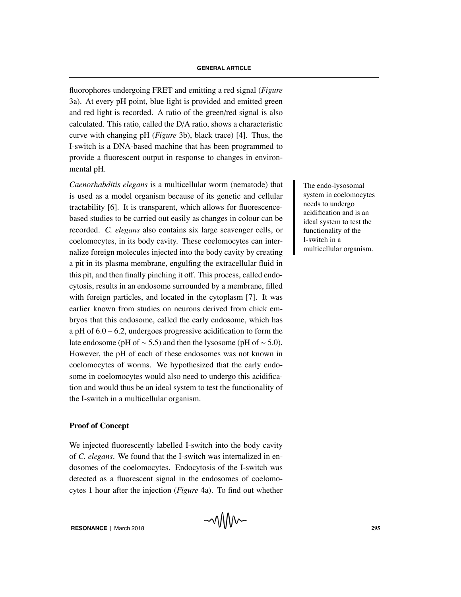fluorophores undergoing FRET and emitting a red signal (*Figure* 3a). At every pH point, blue light is provided and emitted green and red light is recorded. A ratio of the green/red signal is also calculated. This ratio, called the D/A ratio, shows a characteristic curve with changing pH (*Figure* 3b), black trace) [4]. Thus, the I-switch is a DNA-based machine that has been programmed to provide a fluorescent output in response to changes in environmental pH.

*Caenorhabditis elegans* is a multicellular worm (nematode) that The endo-lysosomal is used as a model organism because of its genetic and cellular tractability [6]. It is transparent, which allows for fluorescencebased studies to be carried out easily as changes in colour can be recorded. *C. elegans* also contains six large scavenger cells, or coelomocytes, in its body cavity. These coelomocytes can internalize foreign molecules injected into the body cavity by creating a pit in its plasma membrane, engulfing the extracellular fluid in this pit, and then finally pinching it off. This process, called endocytosis, results in an endosome surrounded by a membrane, filled with foreign particles, and located in the cytoplasm [7]. It was earlier known from studies on neurons derived from chick embryos that this endosome, called the early endosome, which has a pH of 6.0 – 6.2, undergoes progressive acidification to form the late endosome (pH of  $\sim$  5.5) and then the lysosome (pH of  $\sim$  5.0). However, the pH of each of these endosomes was not known in coelomocytes of worms. We hypothesized that the early endosome in coelomocytes would also need to undergo this acidification and would thus be an ideal system to test the functionality of the I-switch in a multicellular organism.

# **Proof of Concept**

We injected fluorescently labelled I-switch into the body cavity of *C. elegans*. We found that the I-switch was internalized in endosomes of the coelomocytes. Endocytosis of the I-switch was detected as a fluorescent signal in the endosomes of coelomocytes 1 hour after the injection (*Figure* 4a). To find out whether system in coelomocytes needs to undergo acidification and is an ideal system to test the functionality of the I-switch in a multicellular organism.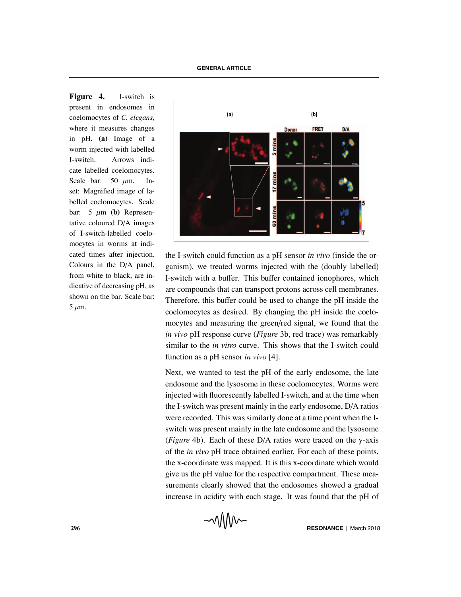**Figure 4.** I-switch is present in endosomes in coelomocytes of *C. elegans*, where it measures changes in pH. **(a)** Image of a worm injected with labelled I-switch. Arrows indicate labelled coelomocytes. Scale bar:  $50 \mu m$ . Inset: Magnified image of labelled coelomocytes. Scale bar:  $5 \mu m$  **(b)** Representative coloured D/A images of I-switch-labelled coelomocytes in worms at indicated times after injection. Colours in the D/A panel, from white to black, are indicative of decreasing pH, as shown on the bar. Scale bar:  $5 \mu m$ .



the I-switch could function as a pH sensor *in vivo* (inside the organism), we treated worms injected with the (doubly labelled) I-switch with a buffer. This buffer contained ionophores, which are compounds that can transport protons across cell membranes. Therefore, this buffer could be used to change the pH inside the coelomocytes as desired. By changing the pH inside the coelomocytes and measuring the green/red signal, we found that the *in vivo* pH response curve (*Figure* 3b, red trace) was remarkably similar to the *in vitro* curve. This shows that the I-switch could function as a pH sensor *in vivo* [4].

Next, we wanted to test the pH of the early endosome, the late endosome and the lysosome in these coelomocytes. Worms were injected with fluorescently labelled I-switch, and at the time when the I-switch was present mainly in the early endosome, D/A ratios were recorded. This was similarly done at a time point when the Iswitch was present mainly in the late endosome and the lysosome (*Figure* 4b). Each of these D/A ratios were traced on the y-axis of the *in vivo* pH trace obtained earlier. For each of these points, the x-coordinate was mapped. It is this x-coordinate which would give us the pH value for the respective compartment. These measurements clearly showed that the endosomes showed a gradual increase in acidity with each stage. It was found that the pH of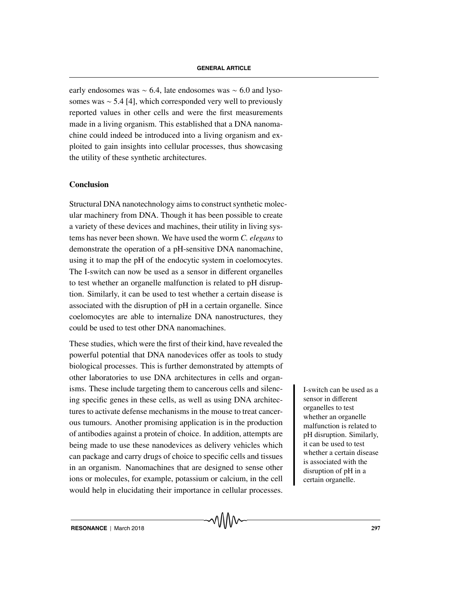early endosomes was ∼ 6.4, late endosomes was ∼ 6.0 and lysosomes was ~ 5.4 [4], which corresponded very well to previously reported values in other cells and were the first measurements made in a living organism. This established that a DNA nanomachine could indeed be introduced into a living organism and exploited to gain insights into cellular processes, thus showcasing the utility of these synthetic architectures.

# **Conclusion**

Structural DNA nanotechnology aims to construct synthetic molecular machinery from DNA. Though it has been possible to create a variety of these devices and machines, their utility in living systems has never been shown. We have used the worm *C. elegans* to demonstrate the operation of a pH-sensitive DNA nanomachine, using it to map the pH of the endocytic system in coelomocytes. The I-switch can now be used as a sensor in different organelles to test whether an organelle malfunction is related to pH disruption. Similarly, it can be used to test whether a certain disease is associated with the disruption of pH in a certain organelle. Since coelomocytes are able to internalize DNA nanostructures, they could be used to test other DNA nanomachines.

These studies, which were the first of their kind, have revealed the powerful potential that DNA nanodevices offer as tools to study biological processes. This is further demonstrated by attempts of other laboratories to use DNA architectures in cells and organisms. These include targeting them to cancerous cells and silenc-<br>I-switch can be used as a ing specific genes in these cells, as well as using DNA architectures to activate defense mechanisms in the mouse to treat cancerous tumours. Another promising application is in the production of antibodies against a protein of choice. In addition, attempts are being made to use these nanodevices as delivery vehicles which can package and carry drugs of choice to specific cells and tissues in an organism. Nanomachines that are designed to sense other ions or molecules, for example, potassium or calcium, in the cell would help in elucidating their importance in cellular processes.

sensor in different organelles to test whether an organelle malfunction is related to pH disruption. Similarly, it can be used to test whether a certain disease is associated with the disruption of pH in a certain organelle.